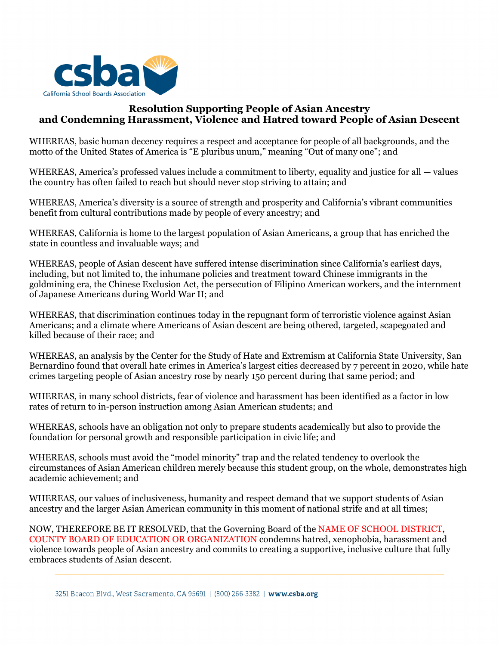

## **Resolution Supporting People of Asian Ancestry and Condemning Harassment, Violence and Hatred toward People of Asian Descent**

WHEREAS, basic human decency requires a respect and acceptance for people of all backgrounds, and the motto of the United States of America is "E pluribus unum," meaning "Out of many one"; and

WHEREAS, America's professed values include a commitment to liberty, equality and justice for all — values the country has often failed to reach but should never stop striving to attain; and

WHEREAS, America's diversity is a source of strength and prosperity and California's vibrant communities benefit from cultural contributions made by people of every ancestry; and

WHEREAS, California is home to the largest population of Asian Americans, a group that has enriched the state in countless and invaluable ways; and

WHEREAS, people of Asian descent have suffered intense discrimination since California's earliest days, including, but not limited to, the inhumane policies and treatment toward Chinese immigrants in the goldmining era, the Chinese Exclusion Act, the persecution of Filipino American workers, and the internment of Japanese Americans during World War II; and

WHEREAS, that discrimination continues today in the repugnant form of terroristic violence against Asian Americans; and a climate where Americans of Asian descent are being othered, targeted, scapegoated and killed because of their race; and

WHEREAS, an analysis by the Center for the Study of Hate and Extremism at California State University, San Bernardino found that overall hate crimes in America's largest cities decreased by 7 percent in 2020, while hate crimes targeting people of Asian ancestry rose by nearly 150 percent during that same period; and

WHEREAS, in many school districts, fear of violence and harassment has been identified as a factor in low rates of return to in-person instruction among Asian American students; and

WHEREAS, schools have an obligation not only to prepare students academically but also to provide the foundation for personal growth and responsible participation in civic life; and

WHEREAS, schools must avoid the "model minority" trap and the related tendency to overlook the circumstances of Asian American children merely because this student group, on the whole, demonstrates high academic achievement; and

WHEREAS, our values of inclusiveness, humanity and respect demand that we support students of Asian ancestry and the larger Asian American community in this moment of national strife and at all times;

NOW, THEREFORE BE IT RESOLVED, that the Governing Board of the NAME OF SCHOOL DISTRICT, COUNTY BOARD OF EDUCATION OR ORGANIZATION condemns hatred, xenophobia, harassment and violence towards people of Asian ancestry and commits to creating a supportive, inclusive culture that fully embraces students of Asian descent.